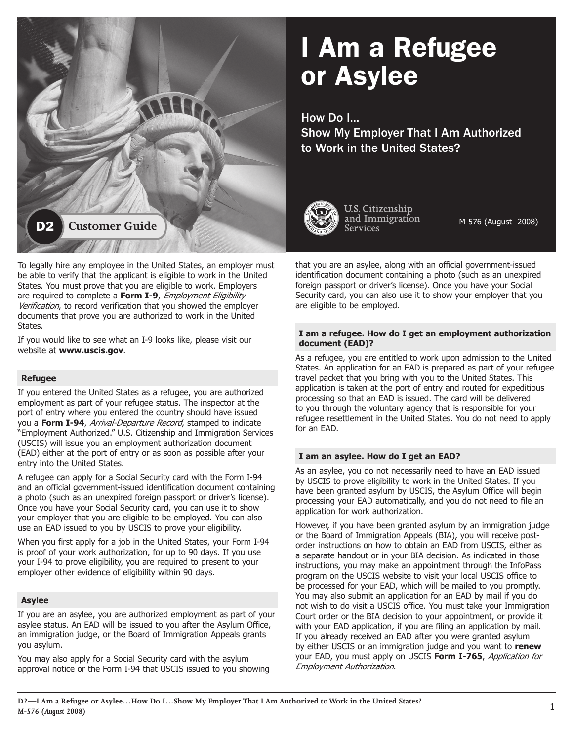

### To legally hire any employee in the United States, an employer must be able to verify that the applicant is eligible to work in the United States. You must prove that you are eligible to work. Employers are required to complete a **Form I-9**, Employment Eligibility Verification, to record verification that you showed the employer documents that prove you are authorized to work in the United States.

If you would like to see what an I-9 looks like, please visit our website at **www.uscis.gov**.

#### **Refugee**

If you entered the United States as a refugee, you are authorized employment as part of your refugee status. The inspector at the port of entry where you entered the country should have issued you a **Form I-94**, Arrival-Departure Record, stamped to indicate "Employment Authorized." U.S. Citizenship and Immigration Services (USCIS) will issue you an employment authorization document (EAD) either at the port of entry or as soon as possible after your entry into the United States.

A refugee can apply for a Social Security card with the Form I-94 and an official government-issued identification document containing a photo (such as an unexpired foreign passport or driver's license). Once you have your Social Security card, you can use it to show your employer that you are eligible to be employed. You can also use an EAD issued to you by USCIS to prove your eligibility.

When you first apply for a job in the United States, your Form I-94 is proof of your work authorization, for up to 90 days. If you use your I-94 to prove eligibility, you are required to present to your employer other evidence of eligibility within 90 days.

# **Asylee**

If you are an asylee, you are authorized employment as part of your asylee status. An EAD will be issued to you after the Asylum Office, an immigration judge, or the Board of Immigration Appeals grants you asylum.

You may also apply for a Social Security card with the asylum approval notice or the Form I-94 that USCIS issued to you showing

# I Am a Refugee or Asylee

How Do I…

Show My Employer That I Am Authorized to Work in the United States?



U.S. Citizenship

M-576 (August 2008)

that you are an asylee, along with an official government-issued identification document containing a photo (such as an unexpired foreign passport or driver's license). Once you have your Social Security card, you can also use it to show your employer that you are eligible to be employed.

#### **I am a refugee. How do I get an employment authorization document (EAD)?**

As a refugee, you are entitled to work upon admission to the United States. An application for an EAD is prepared as part of your refugee travel packet that you bring with you to the United States. This application is taken at the port of entry and routed for expeditious processing so that an EAD is issued. The card will be delivered to you through the voluntary agency that is responsible for your refugee resettlement in the United States. You do not need to apply for an EAD.

# **I am an asylee. How do I get an EAD?**

As an asylee, you do not necessarily need to have an EAD issued by USCIS to prove eligibility to work in the United States. If you have been granted asylum by USCIS, the Asylum Office will begin processing your EAD automatically, and you do not need to file an application for work authorization.

However, if you have been granted asylum by an immigration judge or the Board of Immigration Appeals (BIA), you will receive postorder instructions on how to obtain an EAD from USCIS, either as a separate handout or in your BIA decision. As indicated in those instructions, you may make an appointment through the InfoPass program on the USCIS website to visit your local USCIS office to be processed for your EAD, which will be mailed to you promptly. You may also submit an application for an EAD by mail if you do not wish to do visit a USCIS office. You must take your Immigration Court order or the BIA decision to your appointment, or provide it with your EAD application, if you are filing an application by mail. If you already received an EAD after you were granted asylum by either USCIS or an immigration judge and you want to **renew**  your EAD, you must apply on USCIS **Form I-765**, Application for Employment Authorization.